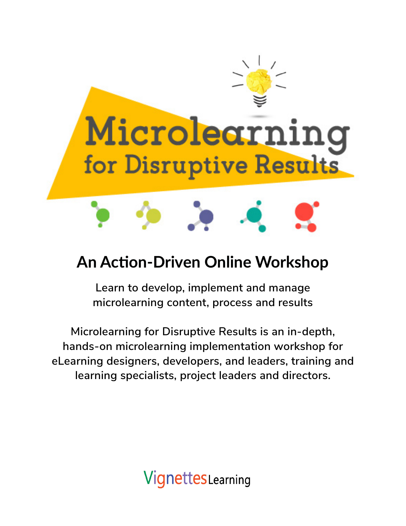

## **An Action-Driven Online Workshop**

**Learn to develop, implement and manage microlearning content, process and results**

**Microlearning for Disruptive Results is an in-depth, hands-on microlearning implementation workshop for eLearning designers, developers, and leaders, training and learning specialists, project leaders and directors.**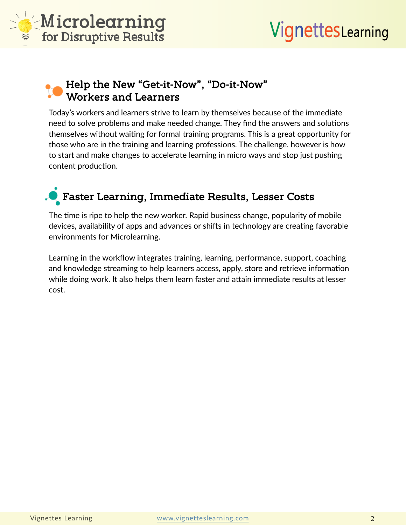

### **Help the New "Get-it-Now", "Do-it-Now" Workers and Learners**

Today's workers and learners strive to learn by themselves because of the immediate need to solve problems and make needed change. They find the answers and solutions themselves without waiting for formal training programs. This is a great opportunity for those who are in the training and learning professions. The challenge, however is how to start and make changes to accelerate learning in micro ways and stop just pushing content production.

## **Faster Learning, Immediate Results, Lesser Costs**

The time is ripe to help the new worker. Rapid business change, popularity of mobile devices, availability of apps and advances or shifts in technology are creating favorable environments for Microlearning.

Learning in the workflow integrates training, learning, performance, support, coaching and knowledge streaming to help learners access, apply, store and retrieve information while doing work. It also helps them learn faster and attain immediate results at lesser cost.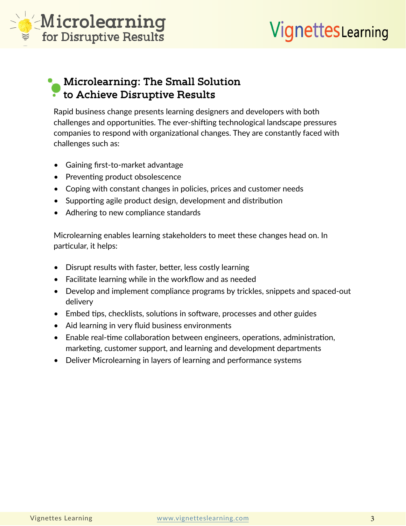

### **Microlearning: The Small Solution to Achieve Disruptive Results**

Rapid business change presents learning designers and developers with both challenges and opportunities. The ever-shifting technological landscape pressures companies to respond with organizational changes. They are constantly faced with challenges such as:

- Gaining first-to-market advantage
- Preventing product obsolescence
- Coping with constant changes in policies, prices and customer needs
- Supporting agile product design, development and distribution
- Adhering to new compliance standards

Microlearning enables learning stakeholders to meet these changes head on. In particular, it helps:

- Disrupt results with faster, better, less costly learning
- Facilitate learning while in the workflow and as needed
- Develop and implement compliance programs by trickles, snippets and spaced-out delivery
- Embed tips, checklists, solutions in software, processes and other guides
- Aid learning in very fluid business environments
- Enable real-time collaboration between engineers, operations, administration, marketing, customer support, and learning and development departments
- Deliver Microlearning in layers of learning and performance systems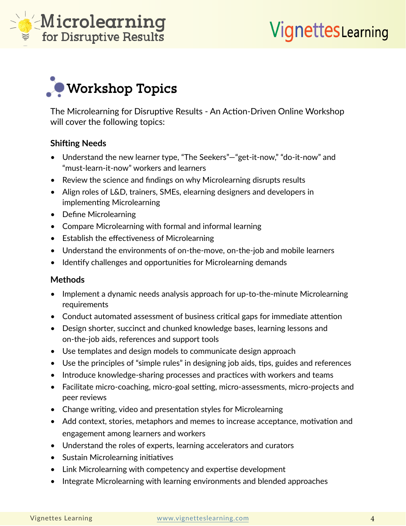



The Microlearning for Disruptive Results - An Action-Driven Online Workshop will cover the following topics:

#### **Shifting Needs**

- Understand the new learner type, "The Seekers"—"get-it-now," "do-it-now" and "must-learn-it-now" workers and learners
- Review the science and findings on why Microlearning disrupts results
- Align roles of L&D, trainers, SMEs, elearning designers and developers in implementing Microlearning
- Define Microlearning
- Compare Microlearning with formal and informal learning
- Establish the effectiveness of Microlearning
- Understand the environments of on-the-move, on-the-job and mobile learners
- Identify challenges and opportunities for Microlearning demands

#### **Methods**

- Implement a dynamic needs analysis approach for up-to-the-minute Microlearning requirements
- Conduct automated assessment of business critical gaps for immediate attention
- Design shorter, succinct and chunked knowledge bases, learning lessons and on-the-job aids, references and support tools
- Use templates and design models to communicate design approach
- Use the principles of "simple rules" in designing job aids, tips, guides and references
- Introduce knowledge-sharing processes and practices with workers and teams
- Facilitate micro-coaching, micro-goal setting, micro-assessments, micro-projects and peer reviews
- Change writing, video and presentation styles for Microlearning
- Add context, stories, metaphors and memes to increase acceptance, motivation and engagement among learners and workers
- Understand the roles of experts, learning accelerators and curators
- Sustain Microlearning initiatives
- Link Microlearning with competency and expertise development
- Integrate Microlearning with learning environments and blended approaches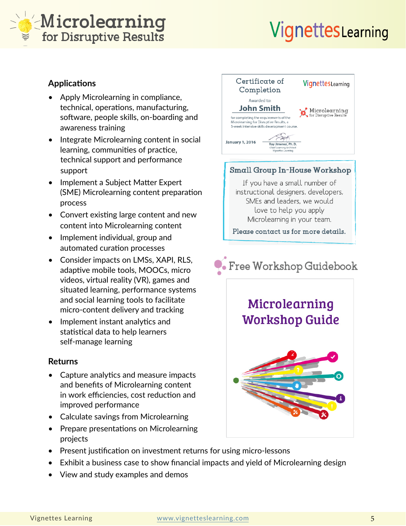## Microlearning for Disruptive Results

# VignettesLearning

### **Applications**

- Apply Microlearning in compliance, technical, operations, manufacturing, software, people skills, on-boarding and awareness training
- Integrate Microlearning content in social learning, communities of practice, technical support and performance support
- Implement a Subject Matter Expert (SME) Microlearning content preparation process
- Convert existing large content and new content into Microlearning content
- Implement individual, group and automated curation processes
- Consider impacts on LMSs, XAPI, RLS, adaptive mobile tools, MOOCs, micro videos, virtual reality (VR), games and situated learning, performance systems and social learning tools to facilitate micro-content delivery and tracking
- Implement instant analytics and statistical data to help learners self-manage learning

### **Returns**

- Capture analytics and measure impacts and benefits of Microlearning content in work efficiencies, cost reduction and improved performance
- Calculate savings from Microlearning
- Prepare presentations on Microlearning projects
- Present justification on investment returns for using micro-lessons
- Exhibit a business case to show financial impacts and yield of Microlearning design
- View and study examples and demos



### Small Group In-House Workshop

If you have a small number of instructional designers, developers, SMEs and leaders, we would love to help you apply Microlearning in your team.

Please contact us for more details.

## Free Workshop Guidebook

### Microlearning **Workshop Guide**

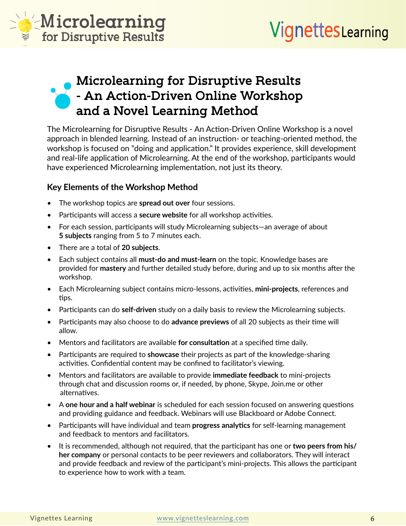

### **Microlearning for Disruptive Results - An Action-Driven Online Workshop and a Novel Learning Method**

The Microlearning for Disruptive Results - An Action-Driven Online Workshop is a novel approach in blended learning. Instead of an instruction- or teaching-oriented method, the workshop is focused on "doing and application." It provides experience, skill development and real-life application of Microlearning. At the end of the workshop, participants would have experienced Microlearning implementation, not just its theory.

### **Key Elements of the Workshop Method**

- The workshop topics are **spread out over** four sessions.
- Participants will access a **secure website** for all workshop activities.
- For each session, participants will study Microlearning subjects—an average of about **5 subjects** ranging from 5 to 7 minutes each.
- There are a total of **20 subjects**.
- Each subject contains all **must-do and must-learn** on the topic. Knowledge bases are provided for **mastery** and further detailed study before, during and up to six months after the workshop.
- Each Microlearning subject contains micro-lessons, activities, **mini-projects**, references and tips.
- Participants can do **self-driven** study on a daily basis to review the Microlearning subjects.
- Participants may also choose to do **advance previews** of all 20 subjects as their time will allow.
- Mentors and facilitators are available **for consultation** at a specified time daily.
- Participants are required to **showcase** their projects as part of the knowledge-sharing activities. Confidential content may be confined to facilitator's viewing.
- Mentors and facilitators are available to provide **immediate feedback** to mini-projects through chat and discussion rooms or, if needed, by phone, Skype, Join.me or other alternatives.
- A **one hour and a half webinar** is scheduled for each session focused on answering questions and providing guidance and feedback. Webinars will use Blackboard or Adobe Connect.
- Participants will have individual and team **progress analytics** for self-learning management and feedback to mentors and facilitators.
- It is recommended, although not required, that the participant has one or **two peers from his/ her company** or personal contacts to be peer reviewers and collaborators. They will interact and provide feedback and review of the participant's mini-projects. This allows the participant to experience how to work with a team.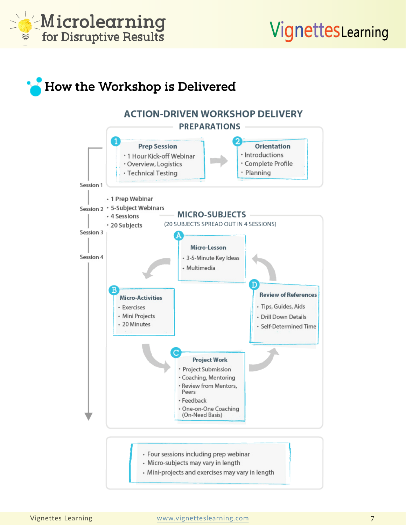

## **How the Workshop is Delivered**

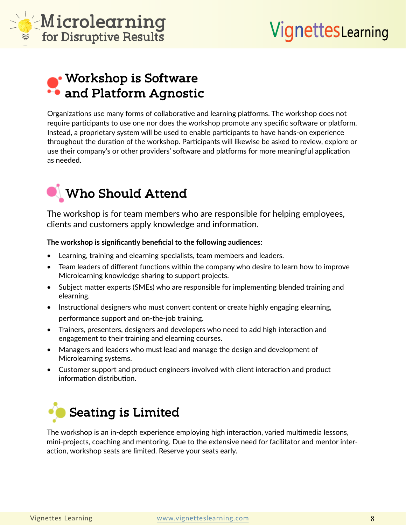



### **Workshop is Software and Platform Agnostic**

Organizations use many forms of collaborative and learning platforms. The workshop does not require participants to use one nor does the workshop promote any specific software or platform. Instead, a proprietary system will be used to enable participants to have hands-on experience throughout the duration of the workshop. Participants will likewise be asked to review, explore or use their company's or other providers' software and platforms for more meaningful application as needed.



The workshop is for team members who are responsible for helping employees, clients and customers apply knowledge and information.

#### **The workshop is significantly beneficial to the following audiences:**

- Learning, training and elearning specialists, team members and leaders.
- Team leaders of different functions within the company who desire to learn how to improve Microlearning knowledge sharing to support projects.
- Subject matter experts (SMEs) who are responsible for implementing blended training and elearning.
- Instructional designers who must convert content or create highly engaging elearning, performance support and on-the-job training.
- Trainers, presenters, designers and developers who need to add high interaction and engagement to their training and elearning courses.
- Managers and leaders who must lead and manage the design and development of Microlearning systems.
- Customer support and product engineers involved with client interaction and product information distribution.



The workshop is an in-depth experience employing high interaction, varied multimedia lessons, mini-projects, coaching and mentoring. Due to the extensive need for facilitator and mentor interaction, workshop seats are limited. Reserve your seats early.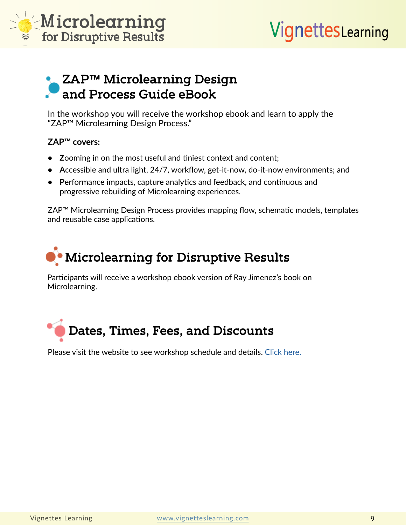

### **ZAP™ Microlearning Design and Process Guide eBook**

In the workshop you will receive the workshop ebook and learn to apply the "ZAP™ Microlearning Design Process."

#### **ZAP™ covers:**

- **• Z**ooming in on the most useful and tiniest context and content;
- **• A**ccessible and ultra light, 24/7, workflow, get-it-now, do-it-now environments; and
- **• P**erformance impacts, capture analytics and feedback, and continuous and progressive rebuilding of Microlearning experiences.

ZAP™ Microlearning Design Process provides mapping flow, schematic models, templates and reusable case applications.

## **Microlearning for Disruptive Results**

Participants will receive a workshop ebook version of Ray Jimenez's book on Microlearning.



Please visit the website to see workshop schedule and details. [Click here.](https://vignetteslearning.com/vignettes/microlearning.php)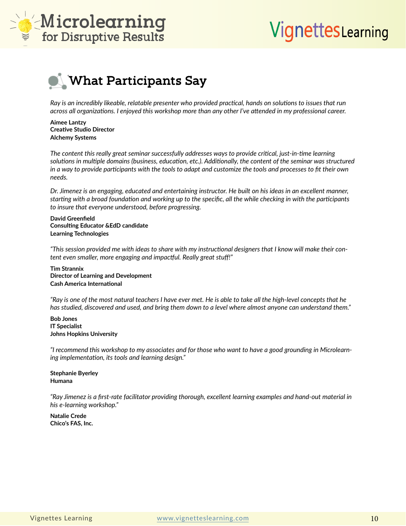



**What Participants Say**

*Ray is an incredibly likeable, relatable presenter who provided practical, hands on solutions to issues that run across all organizations. I enjoyed this workshop more than any other I've attended in my professional career.*

**Aimee Lantzy Creative Studio Director Alchemy Systems**

*The content this really great seminar successfully addresses ways to provide critical, just-in-time learning solutions in multiple domains (business, education, etc.). Additionally, the content of the seminar was structured in a way to provide participants with the tools to adapt and customize the tools and processes to fit their own needs.*

*Dr. Jimenez is an engaging, educated and entertaining instructor. He built on his ideas in an excellent manner, starting with a broad foundation and working up to the specific, all the while checking in with the participants to insure that everyone understood, before progressing.*

**David Greenfield Consulting Educator &EdD candidate Learning Technologies**

*"This session provided me with ideas to share with my instructional designers that I know will make their content even smaller, more engaging and impactful. Really great stuff!"*

**Tim Strannix Director of Learning and Development Cash America International**

*"Ray is one of the most natural teachers I have ever met. He is able to take all the high-level concepts that he has studied, discovered and used, and bring them down to a level where almost anyone can understand them."*

**Bob Jones IT Specialist Johns Hopkins University**

*"I recommend this workshop to my associates and for those who want to have a good grounding in Microlearning implementation, its tools and learning design."*

**Stephanie Byerley Humana**

*"Ray Jimenez is a first-rate facilitator providing thorough, excellent learning examples and hand-out material in his e-learning workshop."*

**Natalie Crede Chico's FAS, Inc.**